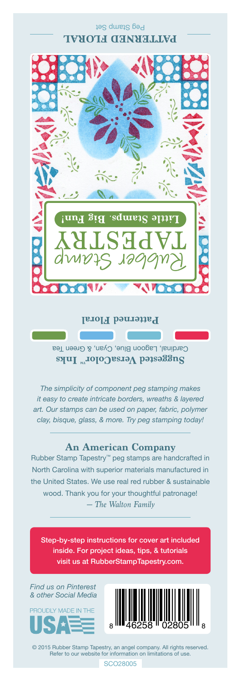Peg Stamp Set **PATTERNED FLORAL** 



**Patterned Floral**

Cardinal, Lagoon Blue, Cyan, & Green Tea **Suggested VersaColor** Inks

*The simplicity of component peg stamping makes it easy to create intricate borders, wreaths & layered art. Our stamps can be used on paper, fabric, polymer clay, bisque, glass, & more. Try peg stamping today!*

## **An American Company**

*— The Walton Family* Rubber Stamp Tapestry™ peg stamps are handcrafted in North Carolina with superior materials manufactured in the United States. We use real red rubber & sustainable wood. Thank you for your thoughtful patronage!

Step-by-step instructions for cover art included inside. For project ideas, tips, & tutorials visit us at RubberStampTapestry.com.

*Find us on Pinterest & other Social Media*





© 2015 Rubber Stamp Tapestry, an angel company. All rights reserved. Refer to our website for information on limitations of use.